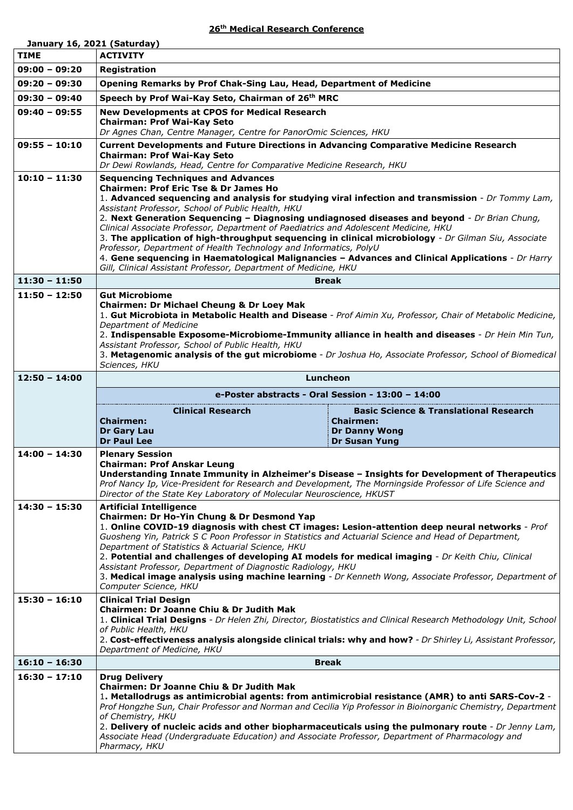## **26th Medical Research Conference**

|                 | January 16, 2021 (Saturday)                                                                                                                                                                                                                                                                                                                                                                                                                                                                                                                                                                                                                          |                                                                                                   |  |
|-----------------|------------------------------------------------------------------------------------------------------------------------------------------------------------------------------------------------------------------------------------------------------------------------------------------------------------------------------------------------------------------------------------------------------------------------------------------------------------------------------------------------------------------------------------------------------------------------------------------------------------------------------------------------------|---------------------------------------------------------------------------------------------------|--|
| <b>TIME</b>     | <b>ACTIVITY</b>                                                                                                                                                                                                                                                                                                                                                                                                                                                                                                                                                                                                                                      |                                                                                                   |  |
| $09:00 - 09:20$ | Registration                                                                                                                                                                                                                                                                                                                                                                                                                                                                                                                                                                                                                                         |                                                                                                   |  |
| $09:20 - 09:30$ | Opening Remarks by Prof Chak-Sing Lau, Head, Department of Medicine                                                                                                                                                                                                                                                                                                                                                                                                                                                                                                                                                                                  |                                                                                                   |  |
| $09:30 - 09:40$ | Speech by Prof Wai-Kay Seto, Chairman of 26th MRC                                                                                                                                                                                                                                                                                                                                                                                                                                                                                                                                                                                                    |                                                                                                   |  |
| $09:40 - 09:55$ | <b>New Developments at CPOS for Medical Research</b><br><b>Chairman: Prof Wai-Kay Seto</b><br>Dr Agnes Chan, Centre Manager, Centre for PanorOmic Sciences, HKU                                                                                                                                                                                                                                                                                                                                                                                                                                                                                      |                                                                                                   |  |
| $09:55 - 10:10$ | <b>Current Developments and Future Directions in Advancing Comparative Medicine Research</b>                                                                                                                                                                                                                                                                                                                                                                                                                                                                                                                                                         |                                                                                                   |  |
|                 | <b>Chairman: Prof Wai-Kay Seto</b><br>Dr Dewi Rowlands, Head, Centre for Comparative Medicine Research, HKU                                                                                                                                                                                                                                                                                                                                                                                                                                                                                                                                          |                                                                                                   |  |
| $10:10 - 11:30$ | <b>Sequencing Techniques and Advances</b><br><b>Chairmen: Prof Eric Tse &amp; Dr James Ho</b><br>1. Advanced sequencing and analysis for studying viral infection and transmission - Dr Tommy Lam,<br>Assistant Professor, School of Public Health, HKU<br>2. Next Generation Sequencing - Diagnosing undiagnosed diseases and beyond - Dr Brian Chung,<br>Clinical Associate Professor, Department of Paediatrics and Adolescent Medicine, HKU<br>3. The application of high-throughput sequencing in clinical microbiology - Dr Gilman Siu, Associate<br>Professor, Department of Health Technology and Informatics, PolyU                         |                                                                                                   |  |
|                 | Gill, Clinical Assistant Professor, Department of Medicine, HKU                                                                                                                                                                                                                                                                                                                                                                                                                                                                                                                                                                                      | 4. Gene sequencing in Haematological Malignancies - Advances and Clinical Applications - Dr Harry |  |
| $11:30 - 11:50$ | <b>Break</b>                                                                                                                                                                                                                                                                                                                                                                                                                                                                                                                                                                                                                                         |                                                                                                   |  |
| $11:50 - 12:50$ | <b>Gut Microbiome</b><br>Chairmen: Dr Michael Cheung & Dr Loey Mak<br>1. Gut Microbiota in Metabolic Health and Disease - Prof Aimin Xu, Professor, Chair of Metabolic Medicine,<br>Department of Medicine<br>2. Indispensable Exposome-Microbiome-Immunity alliance in health and diseases - Dr Hein Min Tun,<br>Assistant Professor, School of Public Health, HKU<br>3. Metagenomic analysis of the gut microbiome - Dr Joshua Ho, Associate Professor, School of Biomedical<br>Sciences, HKU                                                                                                                                                      |                                                                                                   |  |
| $12:50 - 14:00$ | Luncheon                                                                                                                                                                                                                                                                                                                                                                                                                                                                                                                                                                                                                                             |                                                                                                   |  |
|                 | e-Poster abstracts - Oral Session - 13:00 - 14:00                                                                                                                                                                                                                                                                                                                                                                                                                                                                                                                                                                                                    |                                                                                                   |  |
|                 | <b>Clinical Research</b>                                                                                                                                                                                                                                                                                                                                                                                                                                                                                                                                                                                                                             | <b>Basic Science &amp; Translational Research</b>                                                 |  |
|                 | <b>Chairmen:</b><br><b>Dr Gary Lau</b><br><b>Dr Paul Lee</b>                                                                                                                                                                                                                                                                                                                                                                                                                                                                                                                                                                                         | <b>Chairmen:</b><br><b>Dr Danny Wong</b><br><b>Dr Susan Yung</b>                                  |  |
| $14:00 - 14:30$ | <b>Plenary Session</b><br><b>Chairman: Prof Anskar Leung</b><br>Understanding Innate Immunity in Alzheimer's Disease - Insights for Development of Therapeutics<br>Prof Nancy Ip, Vice-President for Research and Development, The Morningside Professor of Life Science and<br>Director of the State Key Laboratory of Molecular Neuroscience, HKUST                                                                                                                                                                                                                                                                                                |                                                                                                   |  |
| $14:30 - 15:30$ | <b>Artificial Intelligence</b><br>Chairmen: Dr Ho-Yin Chung & Dr Desmond Yap<br>1. Online COVID-19 diagnosis with chest CT images: Lesion-attention deep neural networks - Prof<br>Guosheng Yin, Patrick S C Poon Professor in Statistics and Actuarial Science and Head of Department,<br>Department of Statistics & Actuarial Science, HKU<br>2. Potential and challenges of developing AI models for medical imaging - Dr Keith Chiu, Clinical<br>Assistant Professor, Department of Diagnostic Radiology, HKU<br>3. Medical image analysis using machine learning - Dr Kenneth Wong, Associate Professor, Department of<br>Computer Science, HKU |                                                                                                   |  |
| $15:30 - 16:10$ | <b>Clinical Trial Design</b><br><b>Chairmen: Dr Joanne Chiu &amp; Dr Judith Mak</b><br>1. Clinical Trial Designs - Dr Helen Zhi, Director, Biostatistics and Clinical Research Methodology Unit, School<br>of Public Health, HKU<br>2. Cost-effectiveness analysis alongside clinical trials: why and how? - Dr Shirley Li, Assistant Professor,<br>Department of Medicine, HKU                                                                                                                                                                                                                                                                      |                                                                                                   |  |
| $16:10 - 16:30$ | <b>Break</b>                                                                                                                                                                                                                                                                                                                                                                                                                                                                                                                                                                                                                                         |                                                                                                   |  |
| $16:30 - 17:10$ | <b>Drug Delivery</b><br>Chairmen: Dr Joanne Chiu & Dr Judith Mak<br>1. Metallodrugs as antimicrobial agents: from antimicrobial resistance (AMR) to anti SARS-Cov-2 -<br>Prof Hongzhe Sun, Chair Professor and Norman and Cecilia Yip Professor in Bioinorganic Chemistry, Department<br>of Chemistry, HKU<br>2. Delivery of nucleic acids and other biopharmaceuticals using the pulmonary route - Dr Jenny Lam,<br>Associate Head (Undergraduate Education) and Associate Professor, Department of Pharmacology and<br>Pharmacy, HKU                                                                                                               |                                                                                                   |  |